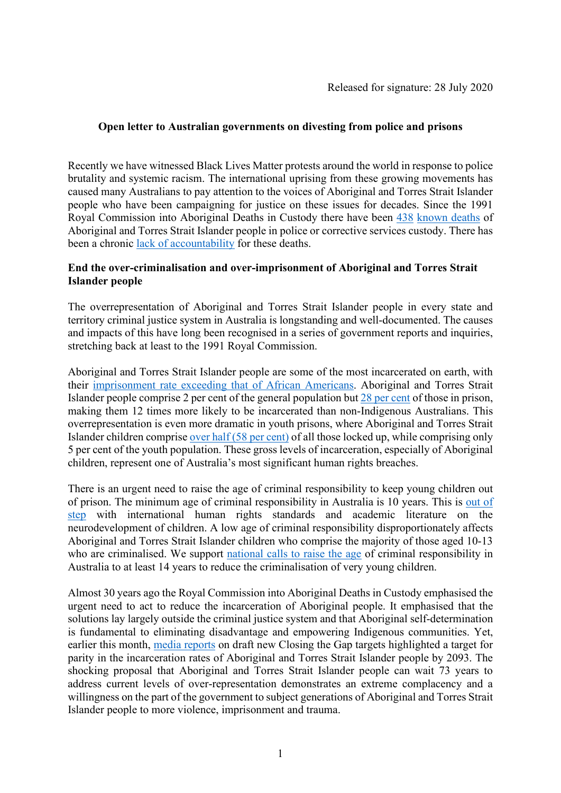## **Open letter to Australian governments on divesting from police and prisons**

Recently we have witnessed Black Lives Matter protests around the world in response to police brutality and systemic racism. The international uprising from these growing movements has caused many Australians to pay attention to the voices of Aboriginal and Torres Strait Islander people who have been campaigning for justice on these issues for decades. Since the 1991 Royal Commission into Aboriginal Deaths in Custody there have been [438](https://www.sbs.com.au/nitv/article/2020/07/14/second-indigenous-death-custody-month-was-acacia-prison) [known deaths](https://www.theguardian.com/australia-news/2020/jun/09/black-lives-matter-protesters-referred-to-our-count-of-432-aboriginal-deaths-in-custody-its-now-437) of Aboriginal and Torres Strait Islander people in police or corrective services custody. There has been a chronic [lack of accountability](https://theconversation.com/despite-432-indigenous-deaths-in-custody-since-1991-no-one-has-ever-been-convicted-racist-silence-and-complicity-are-to-blame-139873) for these deaths.

### **End the over-criminalisation and over-imprisonment of Aboriginal and Torres Strait Islander people**

The overrepresentation of Aboriginal and Torres Strait Islander people in every state and territory criminal justice system in Australia is longstanding and well-documented. The causes and impacts of this have long been recognised in a series of government reports and inquiries, stretching back at least to the 1991 Royal Commission.

Aboriginal and Torres Strait Islander people are some of the most incarcerated on earth, with their [imprisonment rate exceeding that of African Americans.](https://www.smh.com.au/politics/federal/indigenous-australians-more-likely-to-be-jailed-than-african-americans-20190825-p52khg.html) Aboriginal and Torres Strait Islander people comprise 2 per cent of the general population but [28 per cent](https://www.abs.gov.au/ausstats/abs@.nsf/mf/4517.0) of those in prison, making them 12 times more likely to be incarcerated than non-Indigenous Australians. This overrepresentation is even more dramatic in youth prisons, where Aboriginal and Torres Strait Islander children compris[e over half \(58 per cent\)](https://www.aihw.gov.au/getmedia/a5a364b9-fe69-4d02-9c93-1965a69a3d93/aihw-juv-132.pdf.aspx?inline=true) of all those locked up, while comprising only 5 per cent of the youth population. These gross levels of incarceration, especially of Aboriginal children, represent one of Australia's most significant human rights breaches.

There is an urgent need to raise the age of criminal responsibility to keep young children out of prison. The minimum age of criminal responsibility in Australia is 10 years. This is [out of](https://jrna228913579.files.wordpress.com/2020/02/macr-final-2020-2.pdf)  [step](https://jrna228913579.files.wordpress.com/2020/02/macr-final-2020-2.pdf) with international human rights standards and academic literature on the neurodevelopment of children. A low age of criminal responsibility disproportionately affects Aboriginal and Torres Strait Islander children who comprise the majority of those aged 10-13 who are criminalised. We support [national calls to raise the age](http://raisetheage.org.au/) of criminal responsibility in Australia to at least 14 years to reduce the criminalisation of very young children.

Almost 30 years ago the Royal Commission into Aboriginal Deaths in Custody emphasised the urgent need to act to reduce the incarceration of Aboriginal people. It emphasised that the solutions lay largely outside the criminal justice system and that Aboriginal self-determination is fundamental to eliminating disadvantage and empowering Indigenous communities. Yet, earlier this month, [media reports](https://www.sbs.com.au/nitv/article/2020/07/03/lethality-low-expectations-peak-bodies-sign-new-closing-gap-targets) on draft new Closing the Gap targets highlighted a target for parity in the incarceration rates of Aboriginal and Torres Strait Islander people by 2093. The shocking proposal that Aboriginal and Torres Strait Islander people can wait 73 years to address current levels of over-representation demonstrates an extreme complacency and a willingness on the part of the government to subject generations of Aboriginal and Torres Strait Islander people to more violence, imprisonment and trauma.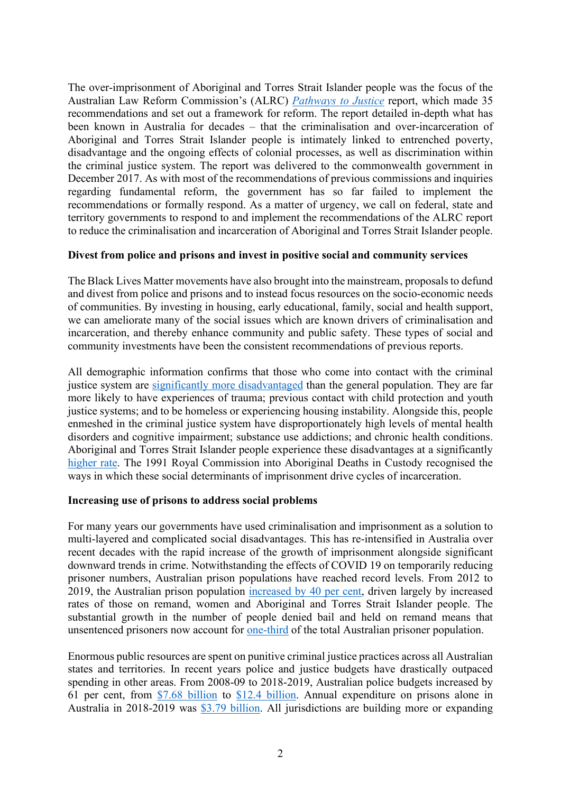The over-imprisonment of Aboriginal and Torres Strait Islander people was the focus of the Australian Law Reform Commission's (ALRC) *[Pathways to Justice](https://www.alrc.gov.au/publication/pathways-to-justice-inquiry-into-the-incarceration-rate-of-aboriginal-and-torres-strait-islander-peoples-alrc-report-133/)* report, which made 35 recommendations and set out a framework for reform. The report detailed in-depth what has been known in Australia for decades – that the criminalisation and over-incarceration of Aboriginal and Torres Strait Islander people is intimately linked to entrenched poverty, disadvantage and the ongoing effects of colonial processes, as well as discrimination within the criminal justice system. The report was delivered to the commonwealth government in December 2017. As with most of the recommendations of previous commissions and inquiries regarding fundamental reform, the government has so far failed to implement the recommendations or formally respond. As a matter of urgency, we call on federal, state and territory governments to respond to and implement the recommendations of the ALRC report to reduce the criminalisation and incarceration of Aboriginal and Torres Strait Islander people.

#### **Divest from police and prisons and invest in positive social and community services**

The Black Lives Matter movements have also brought into the mainstream, proposals to defund and divest from police and prisons and to instead focus resources on the socio-economic needs of communities. By investing in housing, early educational, family, social and health support, we can ameliorate many of the social issues which are known drivers of criminalisation and incarceration, and thereby enhance community and public safety. These types of social and community investments have been the consistent recommendations of previous reports.

All demographic information confirms that those who come into contact with the criminal justice system are [significantly more disadvantaged](https://www.aihw.gov.au/reports/prisoners/health-australia-prisoners-2018/contents/table-of-contents) than the general population. They are far more likely to have experiences of trauma; previous contact with child protection and youth justice systems; and to be homeless or experiencing housing instability. Alongside this, people enmeshed in the criminal justice system have disproportionately high levels of mental health disorders and cognitive impairment; substance use addictions; and chronic health conditions. Aboriginal and Torres Strait Islander people experience these disadvantages at a significantly [higher rate.](https://www.justicehealth.nsw.gov.au/publications/2015NPHSReportAboriginalPeoplesHealthReport.pdf) The 1991 Royal Commission into Aboriginal Deaths in Custody recognised the ways in which these social determinants of imprisonment drive cycles of incarceration.

#### **Increasing use of prisons to address social problems**

For many years our governments have used criminalisation and imprisonment as a solution to multi-layered and complicated social disadvantages. This has re-intensified in Australia over recent decades with the rapid increase of the growth of imprisonment alongside significant downward trends in crime. Notwithstanding the effects of COVID 19 on temporarily reducing prisoner numbers, Australian prison populations have reached record levels. From 2012 to 2019, the Australian prison population [increased by 40 per cent,](https://www.abs.gov.au/ausstats/abs@.nsf/mf/4517.0) driven largely by increased rates of those on remand, women and Aboriginal and Torres Strait Islander people. The substantial growth in the number of people denied bail and held on remand means that unsentenced prisoners now account for [one-third](https://www.abs.gov.au/ausstats/abs@.nsf/mf/4517.0) of the total Australian prisoner population.

Enormous public resources are spent on punitive criminal justice practices across all Australian states and territories. In recent years police and justice budgets have drastically outpaced spending in other areas. From 2008-09 to 2018-2019, Australian police budgets increased by 61 per cent, from [\\$7.68 billion](https://www.pc.gov.au/research/ongoing/report-on-government-services/2010/2010/20-chapter6.pdf) to [\\$12.4 billion.](https://www.pc.gov.au/research/ongoing/report-on-government-services/2020/justice/police-services) Annual expenditure on prisons alone in Australia in 2018-2019 was [\\$3.79 billion.](https://www.pc.gov.au/research/ongoing/report-on-government-services/2020/justice/corrective-services#downloads) All jurisdictions are building more or expanding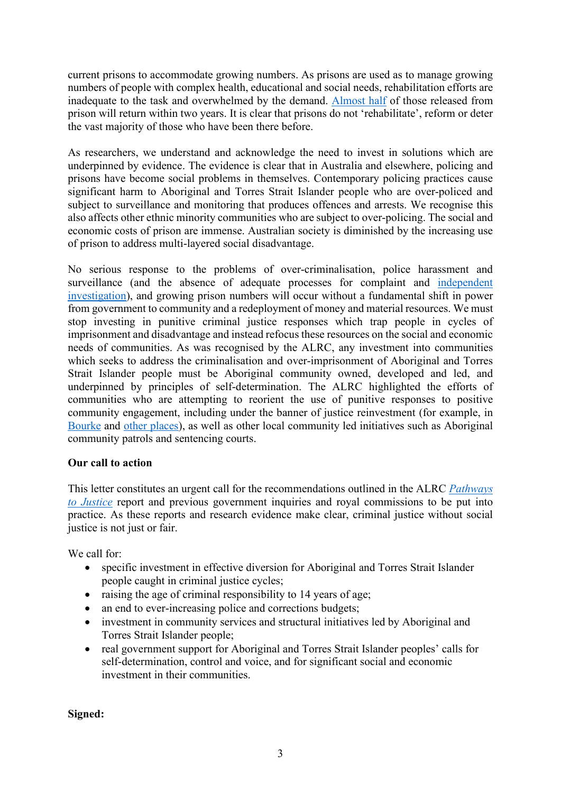current prisons to accommodate growing numbers. As prisons are used as to manage growing numbers of people with complex health, educational and social needs, rehabilitation efforts are inadequate to the task and overwhelmed by the demand. [Almost half](https://www.abs.gov.au/ausstats/abs@.nsf/mf/4517.0) of those released from prison will return within two years. It is clear that prisons do not 'rehabilitate', reform or deter the vast majority of those who have been there before.

As researchers, we understand and acknowledge the need to invest in solutions which are underpinned by evidence. The evidence is clear that in Australia and elsewhere, policing and prisons have become social problems in themselves. Contemporary policing practices cause significant harm to Aboriginal and Torres Strait Islander people who are over-policed and subject to surveillance and monitoring that produces offences and arrests. We recognise this also affects other ethnic minority communities who are subject to over-policing. The social and economic costs of prison are immense. Australian society is diminished by the increasing use of prison to address multi-layered social disadvantage.

No serious response to the problems of over-criminalisation, police harassment and surveillance (and the absence of adequate processes for complaint and [independent](https://www.theage.com.au/national/victoria/police-treatment-of-aboriginal-people-to-be-probed-by-corruption-watchdog-20190830-p52mj1.html)  [investigation\)](https://www.theage.com.au/national/victoria/police-treatment-of-aboriginal-people-to-be-probed-by-corruption-watchdog-20190830-p52mj1.html), and growing prison numbers will occur without a fundamental shift in power from government to community and a redeployment of money and material resources. We must stop investing in punitive criminal justice responses which trap people in cycles of imprisonment and disadvantage and instead refocus these resources on the social and economic needs of communities. As was recognised by the ALRC, any investment into communities which seeks to address the criminalisation and over-imprisonment of Aboriginal and Torres Strait Islander people must be Aboriginal community owned, developed and led, and underpinned by principles of self-determination. The ALRC highlighted the efforts of communities who are attempting to reorient the use of punitive responses to positive community engagement, including under the banner of justice reinvestment (for example, in [Bourke](http://www.justreinvest.org.au/justice-reinvestment-in-bourke/) and [other places\)](https://justicereinvestment.net.au/community-profiles/), as well as other local community led initiatives such as Aboriginal community patrols and sentencing courts.

# **Our call to action**

This letter constitutes an urgent call for the recommendations outlined in the ALRC *[Pathways](https://www.alrc.gov.au/publication/pathways-to-justice-inquiry-into-the-incarceration-rate-of-aboriginal-and-torres-strait-islander-peoples-alrc-report-133/)  [to Justice](https://www.alrc.gov.au/publication/pathways-to-justice-inquiry-into-the-incarceration-rate-of-aboriginal-and-torres-strait-islander-peoples-alrc-report-133/)* report and previous government inquiries and royal commissions to be put into practice. As these reports and research evidence make clear, criminal justice without social justice is not just or fair.

We call for:

- specific investment in effective diversion for Aboriginal and Torres Strait Islander people caught in criminal justice cycles;
- raising the age of criminal responsibility to 14 years of age;
- an end to ever-increasing police and corrections budgets;
- investment in community services and structural initiatives led by Aboriginal and Torres Strait Islander people;
- real government support for Aboriginal and Torres Strait Islander peoples' calls for self-determination, control and voice, and for significant social and economic investment in their communities.

**Signed:**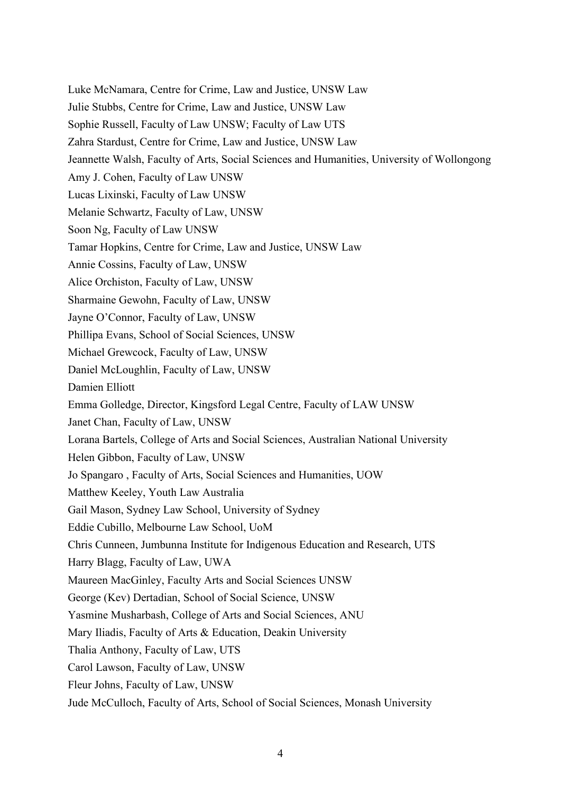Luke McNamara, Centre for Crime, Law and Justice, UNSW Law Julie Stubbs, Centre for Crime, Law and Justice, UNSW Law Sophie Russell, Faculty of Law UNSW; Faculty of Law UTS Zahra Stardust, Centre for Crime, Law and Justice, UNSW Law Jeannette Walsh, Faculty of Arts, Social Sciences and Humanities, University of Wollongong Amy J. Cohen, Faculty of Law UNSW Lucas Lixinski, Faculty of Law UNSW Melanie Schwartz, Faculty of Law, UNSW Soon Ng, Faculty of Law UNSW Tamar Hopkins, Centre for Crime, Law and Justice, UNSW Law Annie Cossins, Faculty of Law, UNSW Alice Orchiston, Faculty of Law, UNSW Sharmaine Gewohn, Faculty of Law, UNSW Jayne O'Connor, Faculty of Law, UNSW Phillipa Evans, School of Social Sciences, UNSW Michael Grewcock, Faculty of Law, UNSW Daniel McLoughlin, Faculty of Law, UNSW Damien Elliott Emma Golledge, Director, Kingsford Legal Centre, Faculty of LAW UNSW Janet Chan, Faculty of Law, UNSW Lorana Bartels, College of Arts and Social Sciences, Australian National University Helen Gibbon, Faculty of Law, UNSW Jo Spangaro , Faculty of Arts, Social Sciences and Humanities, UOW Matthew Keeley, Youth Law Australia Gail Mason, Sydney Law School, University of Sydney Eddie Cubillo, Melbourne Law School, UoM Chris Cunneen, Jumbunna Institute for Indigenous Education and Research, UTS Harry Blagg, Faculty of Law, UWA Maureen MacGinley, Faculty Arts and Social Sciences UNSW George (Kev) Dertadian, School of Social Science, UNSW Yasmine Musharbash, College of Arts and Social Sciences, ANU Mary Iliadis, Faculty of Arts & Education, Deakin University Thalia Anthony, Faculty of Law, UTS Carol Lawson, Faculty of Law, UNSW Fleur Johns, Faculty of Law, UNSW Jude McCulloch, Faculty of Arts, School of Social Sciences, Monash University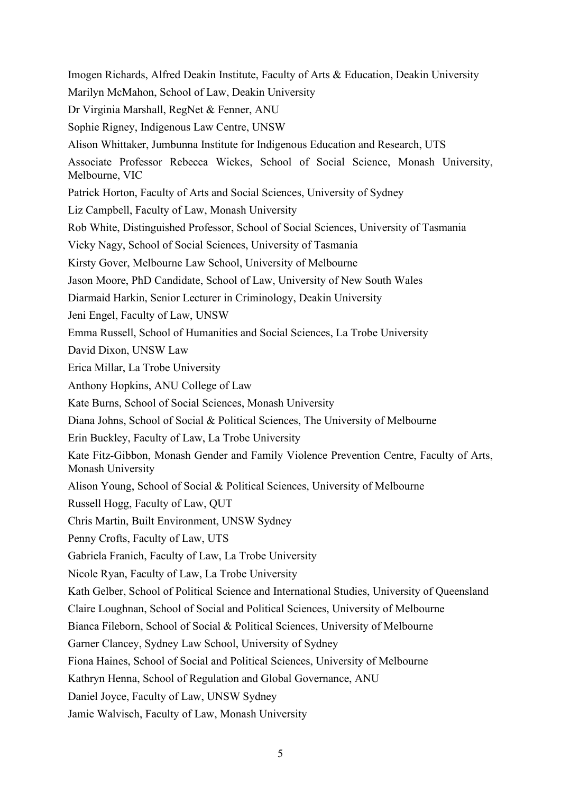Imogen Richards, Alfred Deakin Institute, Faculty of Arts & Education, Deakin University Marilyn McMahon, School of Law, Deakin University Dr Virginia Marshall, RegNet & Fenner, ANU Sophie Rigney, Indigenous Law Centre, UNSW Alison Whittaker, Jumbunna Institute for Indigenous Education and Research, UTS Associate Professor Rebecca Wickes, School of Social Science, Monash University, Melbourne, VIC Patrick Horton, Faculty of Arts and Social Sciences, University of Sydney Liz Campbell, Faculty of Law, Monash University Rob White, Distinguished Professor, School of Social Sciences, University of Tasmania Vicky Nagy, School of Social Sciences, University of Tasmania Kirsty Gover, Melbourne Law School, University of Melbourne Jason Moore, PhD Candidate, School of Law, University of New South Wales Diarmaid Harkin, Senior Lecturer in Criminology, Deakin University Jeni Engel, Faculty of Law, UNSW Emma Russell, School of Humanities and Social Sciences, La Trobe University David Dixon, UNSW Law Erica Millar, La Trobe University Anthony Hopkins, ANU College of Law Kate Burns, School of Social Sciences, Monash University Diana Johns, School of Social & Political Sciences, The University of Melbourne Erin Buckley, Faculty of Law, La Trobe University Kate Fitz-Gibbon, Monash Gender and Family Violence Prevention Centre, Faculty of Arts, Monash University Alison Young, School of Social & Political Sciences, University of Melbourne Russell Hogg, Faculty of Law, QUT Chris Martin, Built Environment, UNSW Sydney Penny Crofts, Faculty of Law, UTS Gabriela Franich, Faculty of Law, La Trobe University Nicole Ryan, Faculty of Law, La Trobe University Kath Gelber, School of Political Science and International Studies, University of Queensland Claire Loughnan, School of Social and Political Sciences, University of Melbourne Bianca Fileborn, School of Social & Political Sciences, University of Melbourne Garner Clancey, Sydney Law School, University of Sydney Fiona Haines, School of Social and Political Sciences, University of Melbourne Kathryn Henna, School of Regulation and Global Governance, ANU Daniel Joyce, Faculty of Law, UNSW Sydney Jamie Walvisch, Faculty of Law, Monash University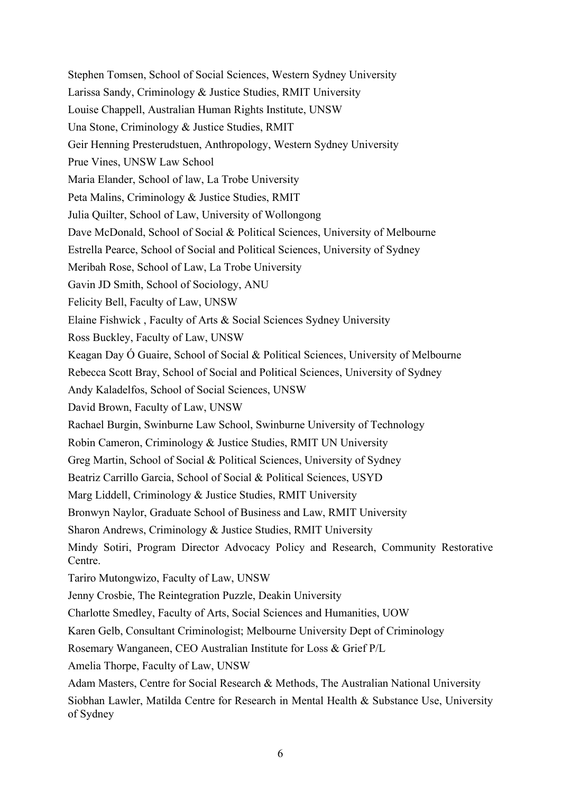Stephen Tomsen, School of Social Sciences, Western Sydney University Larissa Sandy, Criminology & Justice Studies, RMIT University Louise Chappell, Australian Human Rights Institute, UNSW Una Stone, Criminology & Justice Studies, RMIT Geir Henning Presterudstuen, Anthropology, Western Sydney University Prue Vines, UNSW Law School Maria Elander, School of law, La Trobe University Peta Malins, Criminology & Justice Studies, RMIT Julia Quilter, School of Law, University of Wollongong Dave McDonald, School of Social & Political Sciences, University of Melbourne Estrella Pearce, School of Social and Political Sciences, University of Sydney Meribah Rose, School of Law, La Trobe University Gavin JD Smith, School of Sociology, ANU Felicity Bell, Faculty of Law, UNSW Elaine Fishwick , Faculty of Arts & Social Sciences Sydney University Ross Buckley, Faculty of Law, UNSW Keagan Day Ó Guaire, School of Social & Political Sciences, University of Melbourne Rebecca Scott Bray, School of Social and Political Sciences, University of Sydney Andy Kaladelfos, School of Social Sciences, UNSW David Brown, Faculty of Law, UNSW Rachael Burgin, Swinburne Law School, Swinburne University of Technology Robin Cameron, Criminology & Justice Studies, RMIT UN University Greg Martin, School of Social & Political Sciences, University of Sydney Beatriz Carrillo Garcia, School of Social & Political Sciences, USYD Marg Liddell, Criminology & Justice Studies, RMIT University Bronwyn Naylor, Graduate School of Business and Law, RMIT University Sharon Andrews, Criminology & Justice Studies, RMIT University Mindy Sotiri, Program Director Advocacy Policy and Research, Community Restorative Centre. Tariro Mutongwizo, Faculty of Law, UNSW Jenny Crosbie, The Reintegration Puzzle, Deakin University Charlotte Smedley, Faculty of Arts, Social Sciences and Humanities, UOW Karen Gelb, Consultant Criminologist; Melbourne University Dept of Criminology Rosemary Wanganeen, CEO Australian Institute for Loss & Grief P/L Amelia Thorpe, Faculty of Law, UNSW Adam Masters, Centre for Social Research & Methods, The Australian National University Siobhan Lawler, Matilda Centre for Research in Mental Health & Substance Use, University of Sydney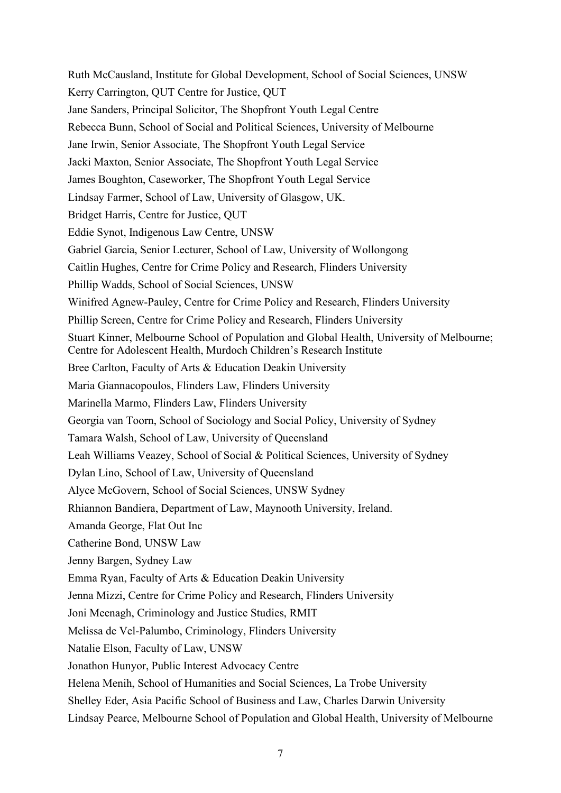Ruth McCausland, Institute for Global Development, School of Social Sciences, UNSW Kerry Carrington, QUT Centre for Justice, QUT Jane Sanders, Principal Solicitor, The Shopfront Youth Legal Centre Rebecca Bunn, School of Social and Political Sciences, University of Melbourne Jane Irwin, Senior Associate, The Shopfront Youth Legal Service Jacki Maxton, Senior Associate, The Shopfront Youth Legal Service James Boughton, Caseworker, The Shopfront Youth Legal Service Lindsay Farmer, School of Law, University of Glasgow, UK. Bridget Harris, Centre for Justice, QUT Eddie Synot, Indigenous Law Centre, UNSW Gabriel Garcia, Senior Lecturer, School of Law, University of Wollongong Caitlin Hughes, Centre for Crime Policy and Research, Flinders University Phillip Wadds, School of Social Sciences, UNSW Winifred Agnew-Pauley, Centre for Crime Policy and Research, Flinders University Phillip Screen, Centre for Crime Policy and Research, Flinders University Stuart Kinner, Melbourne School of Population and Global Health, University of Melbourne; Centre for Adolescent Health, Murdoch Children's Research Institute Bree Carlton, Faculty of Arts & Education Deakin University Maria Giannacopoulos, Flinders Law, Flinders University Marinella Marmo, Flinders Law, Flinders University Georgia van Toorn, School of Sociology and Social Policy, University of Sydney Tamara Walsh, School of Law, University of Queensland Leah Williams Veazey, School of Social & Political Sciences, University of Sydney Dylan Lino, School of Law, University of Queensland Alyce McGovern, School of Social Sciences, UNSW Sydney Rhiannon Bandiera, Department of Law, Maynooth University, Ireland. Amanda George, Flat Out Inc Catherine Bond, UNSW Law Jenny Bargen, Sydney Law Emma Ryan, Faculty of Arts & Education Deakin University Jenna Mizzi, Centre for Crime Policy and Research, Flinders University Joni Meenagh, Criminology and Justice Studies, RMIT Melissa de Vel-Palumbo, Criminology, Flinders University Natalie Elson, Faculty of Law, UNSW Jonathon Hunyor, Public Interest Advocacy Centre Helena Menih, School of Humanities and Social Sciences, La Trobe University Shelley Eder, Asia Pacific School of Business and Law, Charles Darwin University Lindsay Pearce, Melbourne School of Population and Global Health, University of Melbourne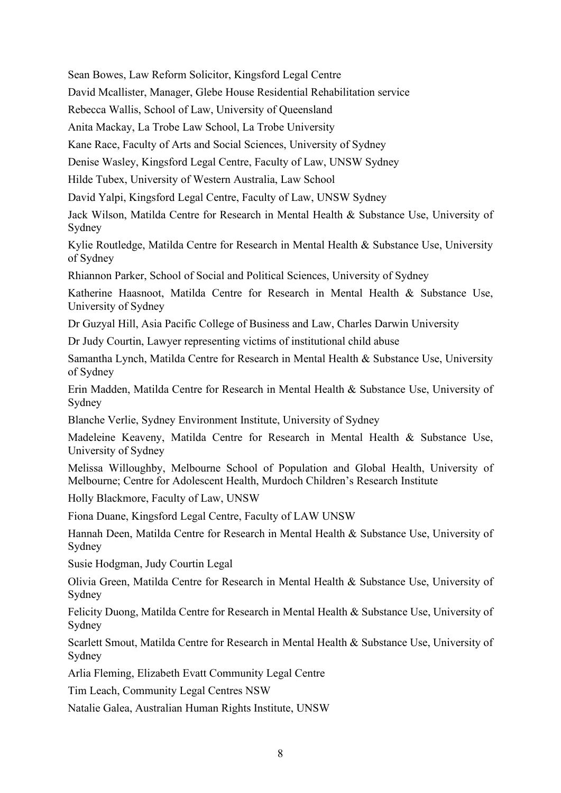Sean Bowes, Law Reform Solicitor, Kingsford Legal Centre

David Mcallister, Manager, Glebe House Residential Rehabilitation service

Rebecca Wallis, School of Law, University of Queensland

Anita Mackay, La Trobe Law School, La Trobe University

Kane Race, Faculty of Arts and Social Sciences, University of Sydney

Denise Wasley, Kingsford Legal Centre, Faculty of Law, UNSW Sydney

Hilde Tubex, University of Western Australia, Law School

David Yalpi, Kingsford Legal Centre, Faculty of Law, UNSW Sydney

Jack Wilson, Matilda Centre for Research in Mental Health & Substance Use, University of Sydney

Kylie Routledge, Matilda Centre for Research in Mental Health & Substance Use, University of Sydney

Rhiannon Parker, School of Social and Political Sciences, University of Sydney

Katherine Haasnoot, Matilda Centre for Research in Mental Health & Substance Use, University of Sydney

Dr Guzyal Hill, Asia Pacific College of Business and Law, Charles Darwin University

Dr Judy Courtin, Lawyer representing victims of institutional child abuse

Samantha Lynch, Matilda Centre for Research in Mental Health & Substance Use, University of Sydney

Erin Madden, Matilda Centre for Research in Mental Health & Substance Use, University of Sydney

Blanche Verlie, Sydney Environment Institute, University of Sydney

Madeleine Keaveny, Matilda Centre for Research in Mental Health & Substance Use, University of Sydney

Melissa Willoughby, Melbourne School of Population and Global Health, University of Melbourne; Centre for Adolescent Health, Murdoch Children's Research Institute

Holly Blackmore, Faculty of Law, UNSW

Fiona Duane, Kingsford Legal Centre, Faculty of LAW UNSW

Hannah Deen, Matilda Centre for Research in Mental Health & Substance Use, University of Sydney

Susie Hodgman, Judy Courtin Legal

Olivia Green, Matilda Centre for Research in Mental Health & Substance Use, University of Sydney

Felicity Duong, Matilda Centre for Research in Mental Health & Substance Use, University of Sydney

Scarlett Smout, Matilda Centre for Research in Mental Health & Substance Use, University of Sydney

Arlia Fleming, Elizabeth Evatt Community Legal Centre

Tim Leach, Community Legal Centres NSW

Natalie Galea, Australian Human Rights Institute, UNSW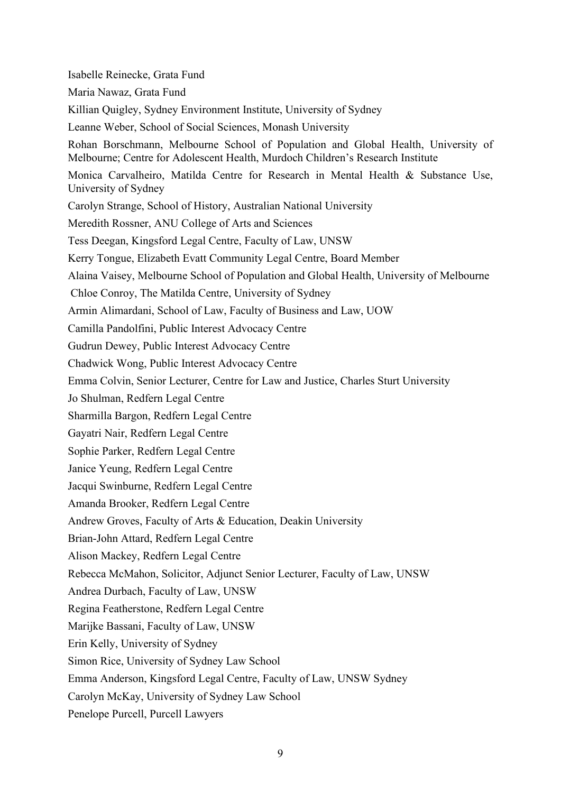Isabelle Reinecke, Grata Fund Maria Nawaz, Grata Fund Killian Quigley, Sydney Environment Institute, University of Sydney Leanne Weber, School of Social Sciences, Monash University Rohan Borschmann, Melbourne School of Population and Global Health, University of Melbourne; Centre for Adolescent Health, Murdoch Children's Research Institute Monica Carvalheiro, Matilda Centre for Research in Mental Health & Substance Use, University of Sydney Carolyn Strange, School of History, Australian National University Meredith Rossner, ANU College of Arts and Sciences Tess Deegan, Kingsford Legal Centre, Faculty of Law, UNSW Kerry Tongue, Elizabeth Evatt Community Legal Centre, Board Member Alaina Vaisey, Melbourne School of Population and Global Health, University of Melbourne Chloe Conroy, The Matilda Centre, University of Sydney Armin Alimardani, School of Law, Faculty of Business and Law, UOW Camilla Pandolfini, Public Interest Advocacy Centre Gudrun Dewey, Public Interest Advocacy Centre Chadwick Wong, Public Interest Advocacy Centre Emma Colvin, Senior Lecturer, Centre for Law and Justice, Charles Sturt University Jo Shulman, Redfern Legal Centre Sharmilla Bargon, Redfern Legal Centre Gayatri Nair, Redfern Legal Centre Sophie Parker, Redfern Legal Centre Janice Yeung, Redfern Legal Centre Jacqui Swinburne, Redfern Legal Centre Amanda Brooker, Redfern Legal Centre Andrew Groves, Faculty of Arts & Education, Deakin University Brian-John Attard, Redfern Legal Centre Alison Mackey, Redfern Legal Centre Rebecca McMahon, Solicitor, Adjunct Senior Lecturer, Faculty of Law, UNSW Andrea Durbach, Faculty of Law, UNSW Regina Featherstone, Redfern Legal Centre Marijke Bassani, Faculty of Law, UNSW Erin Kelly, University of Sydney Simon Rice, University of Sydney Law School Emma Anderson, Kingsford Legal Centre, Faculty of Law, UNSW Sydney Carolyn McKay, University of Sydney Law School Penelope Purcell, Purcell Lawyers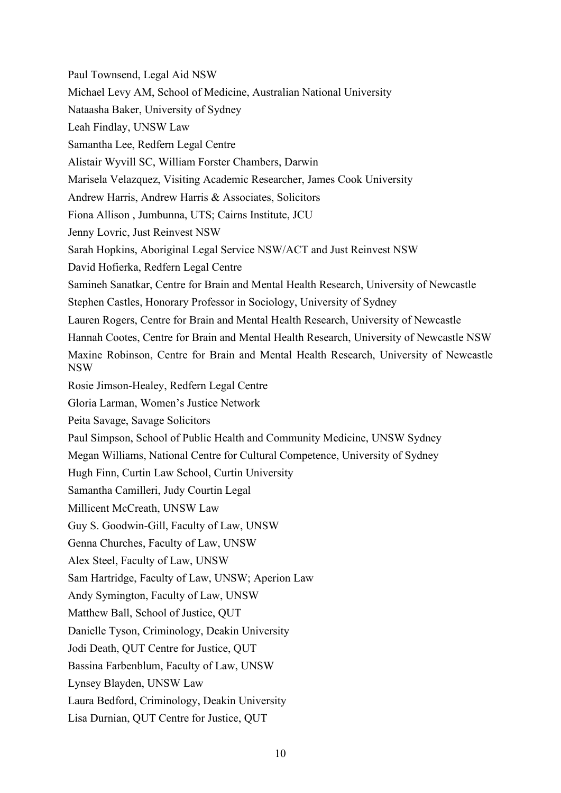Paul Townsend, Legal Aid NSW Michael Levy AM, School of Medicine, Australian National University Nataasha Baker, University of Sydney Leah Findlay, UNSW Law Samantha Lee, Redfern Legal Centre Alistair Wyvill SC, William Forster Chambers, Darwin Marisela Velazquez, Visiting Academic Researcher, James Cook University Andrew Harris, Andrew Harris & Associates, Solicitors Fiona Allison , Jumbunna, UTS; Cairns Institute, JCU Jenny Lovric, Just Reinvest NSW Sarah Hopkins, Aboriginal Legal Service NSW/ACT and Just Reinvest NSW David Hofierka, Redfern Legal Centre Samineh Sanatkar, Centre for Brain and Mental Health Research, University of Newcastle Stephen Castles, Honorary Professor in Sociology, University of Sydney Lauren Rogers, Centre for Brain and Mental Health Research, University of Newcastle Hannah Cootes, Centre for Brain and Mental Health Research, University of Newcastle NSW Maxine Robinson, Centre for Brain and Mental Health Research, University of Newcastle NSW Rosie Jimson-Healey, Redfern Legal Centre Gloria Larman, Women's Justice Network Peita Savage, Savage Solicitors Paul Simpson, School of Public Health and Community Medicine, UNSW Sydney Megan Williams, National Centre for Cultural Competence, University of Sydney Hugh Finn, Curtin Law School, Curtin University Samantha Camilleri, Judy Courtin Legal Millicent McCreath, UNSW Law Guy S. Goodwin-Gill, Faculty of Law, UNSW Genna Churches, Faculty of Law, UNSW Alex Steel, Faculty of Law, UNSW Sam Hartridge, Faculty of Law, UNSW; Aperion Law Andy Symington, Faculty of Law, UNSW Matthew Ball, School of Justice, QUT Danielle Tyson, Criminology, Deakin University Jodi Death, QUT Centre for Justice, QUT Bassina Farbenblum, Faculty of Law, UNSW Lynsey Blayden, UNSW Law Laura Bedford, Criminology, Deakin University Lisa Durnian, QUT Centre for Justice, QUT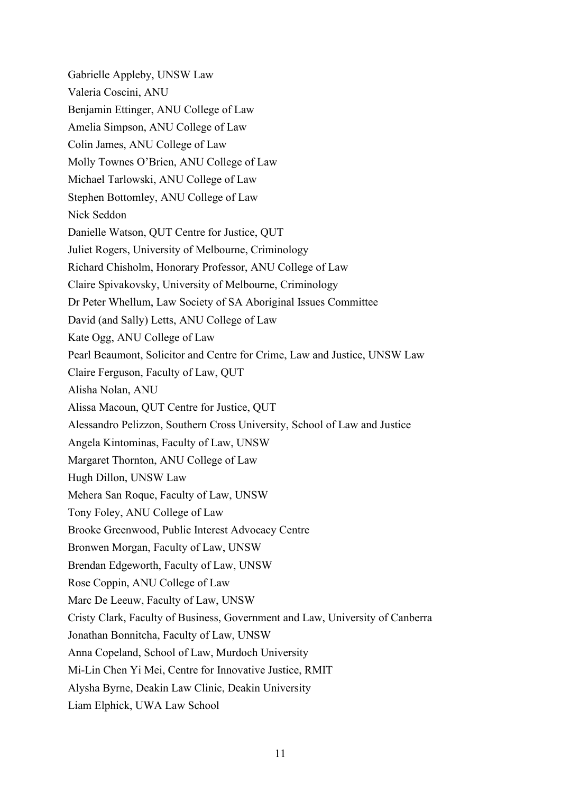Gabrielle Appleby, UNSW Law Valeria Coscini, ANU Benjamin Ettinger, ANU College of Law Amelia Simpson, ANU College of Law Colin James, ANU College of Law Molly Townes O'Brien, ANU College of Law Michael Tarlowski, ANU College of Law Stephen Bottomley, ANU College of Law Nick Seddon Danielle Watson, QUT Centre for Justice, QUT Juliet Rogers, University of Melbourne, Criminology Richard Chisholm, Honorary Professor, ANU College of Law Claire Spivakovsky, University of Melbourne, Criminology Dr Peter Whellum, Law Society of SA Aboriginal Issues Committee David (and Sally) Letts, ANU College of Law Kate Ogg, ANU College of Law Pearl Beaumont, Solicitor and Centre for Crime, Law and Justice, UNSW Law Claire Ferguson, Faculty of Law, QUT Alisha Nolan, ANU Alissa Macoun, QUT Centre for Justice, QUT Alessandro Pelizzon, Southern Cross University, School of Law and Justice Angela Kintominas, Faculty of Law, UNSW Margaret Thornton, ANU College of Law Hugh Dillon, UNSW Law Mehera San Roque, Faculty of Law, UNSW Tony Foley, ANU College of Law Brooke Greenwood, Public Interest Advocacy Centre Bronwen Morgan, Faculty of Law, UNSW Brendan Edgeworth, Faculty of Law, UNSW Rose Coppin, ANU College of Law Marc De Leeuw, Faculty of Law, UNSW Cristy Clark, Faculty of Business, Government and Law, University of Canberra Jonathan Bonnitcha, Faculty of Law, UNSW Anna Copeland, School of Law, Murdoch University Mi-Lin Chen Yi Mei, Centre for Innovative Justice, RMIT Alysha Byrne, Deakin Law Clinic, Deakin University Liam Elphick, UWA Law School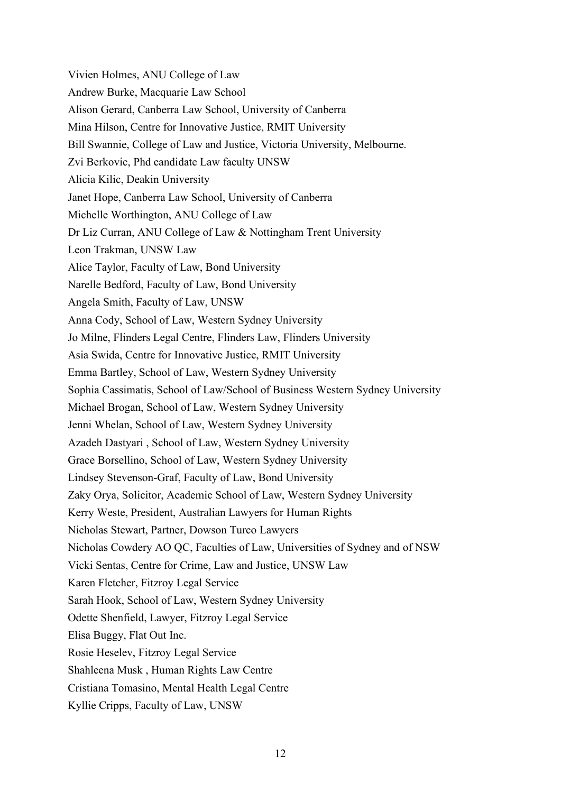Vivien Holmes, ANU College of Law Andrew Burke, Macquarie Law School Alison Gerard, Canberra Law School, University of Canberra Mina Hilson, Centre for Innovative Justice, RMIT University Bill Swannie, College of Law and Justice, Victoria University, Melbourne. Zvi Berkovic, Phd candidate Law faculty UNSW Alicia Kilic, Deakin University Janet Hope, Canberra Law School, University of Canberra Michelle Worthington, ANU College of Law Dr Liz Curran, ANU College of Law & Nottingham Trent University Leon Trakman, UNSW Law Alice Taylor, Faculty of Law, Bond University Narelle Bedford, Faculty of Law, Bond University Angela Smith, Faculty of Law, UNSW Anna Cody, School of Law, Western Sydney University Jo Milne, Flinders Legal Centre, Flinders Law, Flinders University Asia Swida, Centre for Innovative Justice, RMIT University Emma Bartley, School of Law, Western Sydney University Sophia Cassimatis, School of Law/School of Business Western Sydney University Michael Brogan, School of Law, Western Sydney University Jenni Whelan, School of Law, Western Sydney University Azadeh Dastyari , School of Law, Western Sydney University Grace Borsellino, School of Law, Western Sydney University Lindsey Stevenson-Graf, Faculty of Law, Bond University Zaky Orya, Solicitor, Academic School of Law, Western Sydney University Kerry Weste, President, Australian Lawyers for Human Rights Nicholas Stewart, Partner, Dowson Turco Lawyers Nicholas Cowdery AO QC, Faculties of Law, Universities of Sydney and of NSW Vicki Sentas, Centre for Crime, Law and Justice, UNSW Law Karen Fletcher, Fitzroy Legal Service Sarah Hook, School of Law, Western Sydney University Odette Shenfield, Lawyer, Fitzroy Legal Service Elisa Buggy, Flat Out Inc. Rosie Heselev, Fitzroy Legal Service Shahleena Musk , Human Rights Law Centre Cristiana Tomasino, Mental Health Legal Centre Kyllie Cripps, Faculty of Law, UNSW